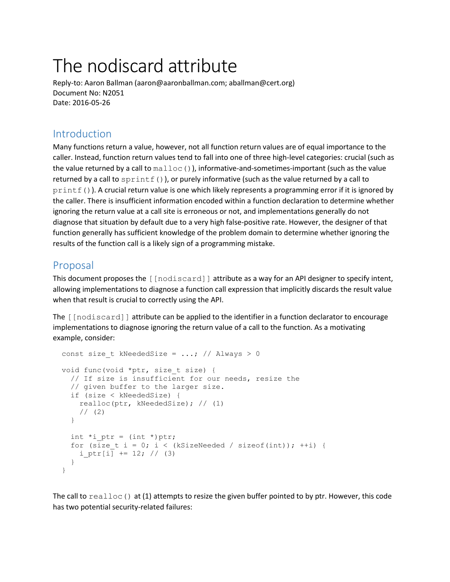# The nodiscard attribute

Reply-to: Aaron Ballman (aaron@aaronballman.com; aballman@cert.org) Document No: N2051 Date: 2016-05-26

# Introduction

Many functions return a value, however, not all function return values are of equal importance to the caller. Instead, function return values tend to fall into one of three high-level categories: crucial (such as the value returned by a call to  $\text{malloc}()$ , informative-and-sometimes-important (such as the value returned by a call to  $\text{sprintf}()$ ), or purely informative (such as the value returned by a call to printf()). A crucial return value is one which likely represents a programming error if it is ignored by the caller. There is insufficient information encoded within a function declaration to determine whether ignoring the return value at a call site is erroneous or not, and implementations generally do not diagnose that situation by default due to a very high false-positive rate. However, the designer of that function generally has sufficient knowledge of the problem domain to determine whether ignoring the results of the function call is a likely sign of a programming mistake.

## Proposal

This document proposes the [[nodiscard]] attribute as a way for an API designer to specify intent, allowing implementations to diagnose a function call expression that implicitly discards the result value when that result is crucial to correctly using the API.

The [[nodiscard]] attribute can be applied to the identifier in a function declarator to encourage implementations to diagnose ignoring the return value of a call to the function. As a motivating example, consider:

```
const size t kNeededSize = ...; // Always > 0
void func(void *ptr, size t size) {
   // If size is insufficient for our needs, resize the
   // given buffer to the larger size.
   if (size < kNeededSize) {
     realloc(ptr, kNeededSize); // (1)
    1/ (2) }
  int *i ptr = (int *)ptr;
  for (size t i = 0; i < (kSizeNeeded / sizeof(int)); ++i) {
   i ptr\overline{1} += 12; // (3)
   }
 }
```
The call to  $realloc()$  at (1) attempts to resize the given buffer pointed to by ptr. However, this code has two potential security-related failures: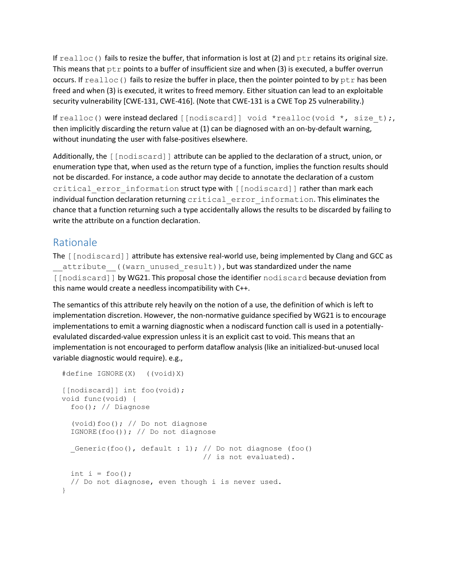If  $realloc()$  fails to resize the buffer, that information is lost at (2) and  $ptr$  retains its original size. This means that  $ptr$  points to a buffer of insufficient size and when (3) is executed, a buffer overrun occurs. If  $realloc()$  fails to resize the buffer in place, then the pointer pointed to by  $ptr$  has been freed and when (3) is executed, it writes to freed memory. Either situation can lead to an exploitable security vulnerability [CWE-131, CWE-416]. (Note that CWE-131 is a CWE Top 25 vulnerability.)

If realloc() were instead declared  $\lceil \text{[nodescard]} \rceil$  void \*realloc(void \*, size t);, then implicitly discarding the return value at (1) can be diagnosed with an on-by-default warning, without inundating the user with false-positives elsewhere.

Additionally, the [[nodiscard]] attribute can be applied to the declaration of a struct, union, or enumeration type that, when used as the return type of a function, implies the function results should not be discarded. For instance, a code author may decide to annotate the declaration of a custom critical error information struct type with [[nodiscard]] rather than mark each individual function declaration returning critical error information. This eliminates the chance that a function returning such a type accidentally allows the results to be discarded by failing to write the attribute on a function declaration.

# Rationale

The [[nodiscard]] attribute has extensive real-world use, being implemented by Clang and GCC as attribute ((warn unused result)), but was standardized under the name [[nodiscard]] by WG21. This proposal chose the identifier nodiscard because deviation from this name would create a needless incompatibility with C++.

The semantics of this attribute rely heavily on the notion of a use, the definition of which is left to implementation discretion. However, the non-normative guidance specified by WG21 is to encourage implementations to emit a warning diagnostic when a nodiscard function call is used in a potentiallyevalulated discarded-value expression unless it is an explicit cast to void. This means that an implementation is not encouraged to perform dataflow analysis (like an initialized-but-unused local variable diagnostic would require). e.g.,

```
 #define IGNORE(X) ((void)X)
[[nodiscard]] int foo(void);
 void func(void) {
   foo(); // Diagnose
   (void)foo(); // Do not diagnose
   IGNORE(foo()); // Do not diagnose
  Generic(foo(), default : 1); // Do not diagnose (foo()
                                   // is not evaluated).
  int i = f \circ \circ ();
   // Do not diagnose, even though i is never used.
 }
```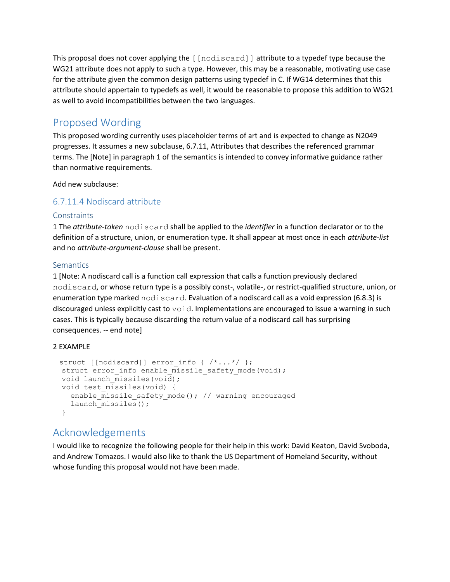This proposal does not cover applying the  $\lceil \text{nodiscard} \rceil$  attribute to a typedef type because the WG21 attribute does not apply to such a type. However, this may be a reasonable, motivating use case for the attribute given the common design patterns using typedef in C. If WG14 determines that this attribute should appertain to typedefs as well, it would be reasonable to propose this addition to WG21 as well to avoid incompatibilities between the two languages.

# Proposed Wording

This proposed wording currently uses placeholder terms of art and is expected to change as N2049 progresses. It assumes a new subclause, 6.7.11, Attributes that describes the referenced grammar terms. The [Note] in paragraph 1 of the semantics is intended to convey informative guidance rather than normative requirements.

Add new subclause:

## 6.7.11.4 Nodiscard attribute

#### **Constraints**

1 The *attribute-token* nodiscard shall be applied to the *identifier* in a function declarator or to the definition of a structure, union, or enumeration type. It shall appear at most once in each *attribute-list* and no *attribute-argument-clause* shall be present.

#### **Semantics**

1 [Note: A nodiscard call is a function call expression that calls a function previously declared nodiscard, or whose return type is a possibly const-, volatile-, or restrict-qualified structure, union, or enumeration type marked nodiscard. Evaluation of a nodiscard call as a void expression (6.8.3) is discouraged unless explicitly cast to  $\text{void}$ . Implementations are encouraged to issue a warning in such cases. This is typically because discarding the return value of a nodiscard call has surprising consequences. -- end note]

#### 2 EXAMPLE

```
struct [[nodiscard]] error info { /*...*/ };
struct error info enable missile safety mode(void);
void launch missiles(void);
 void test_missiles(void) {
   enable_missile_safety_mode(); // warning encouraged
  launch missiles();
 }
```
# Acknowledgements

I would like to recognize the following people for their help in this work: David Keaton, David Svoboda, and Andrew Tomazos. I would also like to thank the US Department of Homeland Security, without whose funding this proposal would not have been made.